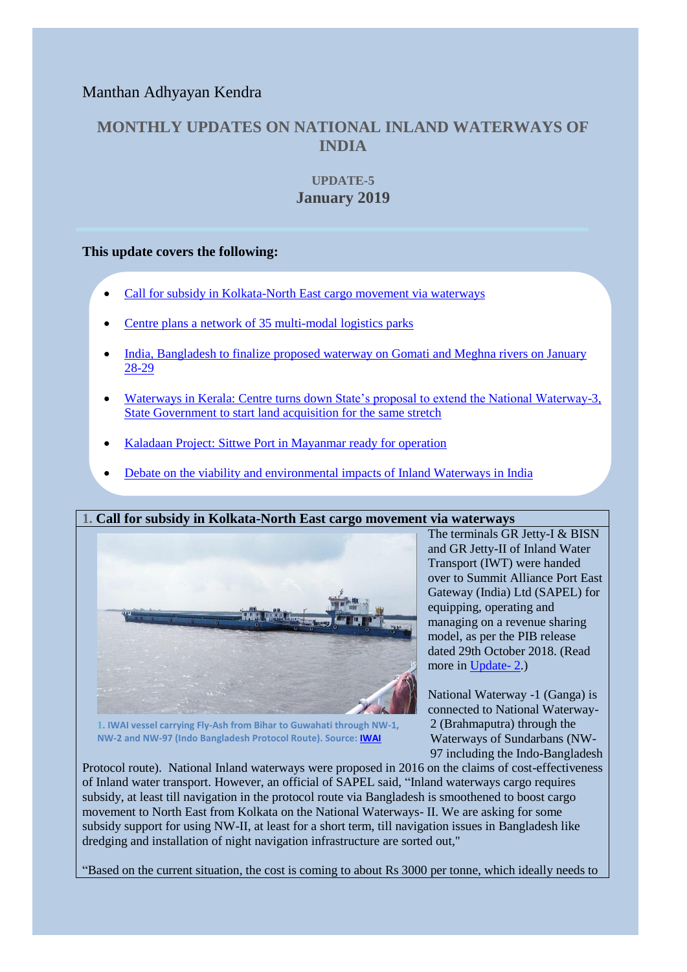Manthan Adhyayan Kendra

# **MONTHLY UPDATES ON NATIONAL INLAND WATERWAYS OF INDIA**

## **UPDATE-5 January 2019**

#### **This update covers the following:**

- [Call for subsidy in Kolkata-North East cargo movement via waterways](#page-1-0)
- Centre plans [a network of 35 multi-modal logistics parks](#page-1-0)
- [India, Bangladesh to finalize proposed waterway on Gomati and Meghna rivers on January](#page-1-1)  [28-29](#page-1-1)
- [Waterways in Kerala: Centre turns down State's proposal to extend the National Waterway-3,](#page-2-0)  [State Government to start land acquisition for the same stretch](#page-2-0)
- [Kaladaan Project: Sittwe Port in Mayanmar ready for operation](#page-3-0)
- [Debate on the viability and environmental impacts of Inland Waterways in India](#page-3-1)

#### **1. Call for subsidy in Kolkata-North East cargo movement via waterways**



**1. IWAI vessel carrying Fly-Ash from Bihar to Guwahati through NW-1, NW-2 and NW-97 (Indo Bangladesh Protocol Route). Source: [IWAI](https://www.facebook.com/239604849793692/photos/a.356509114769931/536395090114665/?type=3&theater)**

The terminals GR Jetty-I & BISN and GR Jetty-II of Inland Water Transport (IWT) were handed over to Summit Alliance Port East Gateway (India) Ltd (SAPEL) for equipping, operating and managing on a revenue sharing model, as per the PIB release dated 29th October 2018. (Read more in [Update-](http://www.manthan-india.org/wp-content/uploads/2018/11/October-2018-waterway-update.pdf) 2.)

National Waterway -1 (Ganga) is connected to National Waterway-2 (Brahmaputra) through the Waterways of Sundarbans (NW-97 including the Indo-Bangladesh

Protocol route). National Inland waterways were proposed in 2016 on the claims of cost-effectiveness of Inland water transport. However, an official of SAPEL said, "Inland waterways cargo requires subsidy, at least till navigation in the protocol route via Bangladesh is smoothened to boost cargo movement to North East from Kolkata on the National Waterways- II. We are asking for some subsidy support for using NW-II, at least for a short term, till navigation issues in Bangladesh like dredging and installation of night navigation infrastructure are sorted out,"

"Based on the current situation, the cost is coming to about Rs 3000 per tonne, which ideally needs to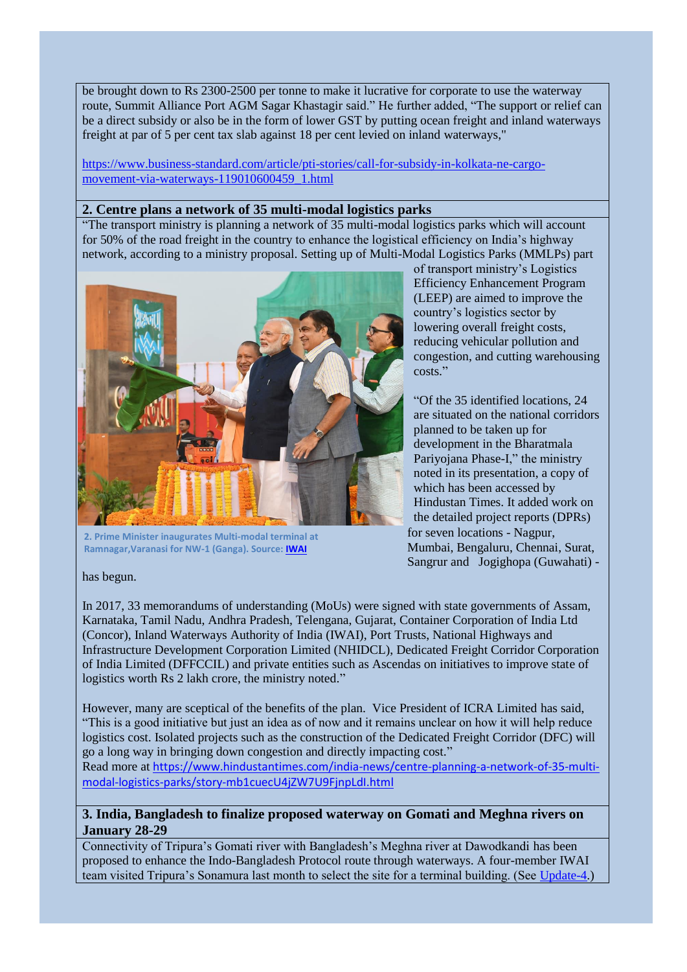be brought down to Rs 2300-2500 per tonne to make it lucrative for corporate to use the waterway route, Summit Alliance Port AGM Sagar Khastagir said." He further added, "The support or relief can be a direct subsidy or also be in the form of lower GST by putting ocean freight and inland waterways freight at par of 5 per cent tax slab against 18 per cent levied on inland waterways,"

[https://www.business-standard.com/article/pti-stories/call-for-subsidy-in-kolkata-ne-cargo](https://www.business-standard.com/article/pti-stories/call-for-subsidy-in-kolkata-ne-cargo-movement-via-waterways-119010600459_1.html)[movement-via-waterways-119010600459\\_1.html](https://www.business-standard.com/article/pti-stories/call-for-subsidy-in-kolkata-ne-cargo-movement-via-waterways-119010600459_1.html)

#### <span id="page-1-0"></span>**2. Centre plans a network of 35 multi-modal logistics parks**

"The transport ministry is planning a network of 35 multi-modal logistics parks which will account for 50% of the road freight in the country to enhance the logistical efficiency on India's highway network, according to a ministry proposal. Setting up of Multi-Modal Logistics Parks (MMLPs) part



**2. Prime Minister inaugurates Multi-modal terminal at Ramnagar,Varanasi for NW-1 (Ganga). Source: [IWAI](https://www.facebook.com/239604849793692/photos/pcb.563104907443683/563104767443697/?type=3&theater)**

of transport ministry's Logistics Efficiency Enhancement Program (LEEP) are aimed to improve the country's logistics sector by lowering overall freight costs, reducing vehicular pollution and congestion, and cutting warehousing costs."

"Of the 35 identified locations, 24 are situated on the national corridors planned to be taken up for development in the Bharatmala Pariyojana Phase-I," the ministry noted in its presentation, a copy of which has been accessed by Hindustan Times. It added work on the detailed project reports (DPRs) for seven locations - Nagpur, Mumbai, Bengaluru, Chennai, Surat, Sangrur and Jogighopa (Guwahati) -

has begun.

In 2017, 33 memorandums of understanding (MoUs) were signed with state governments of Assam, Karnataka, Tamil Nadu, Andhra Pradesh, Telengana, Gujarat, Container Corporation of India Ltd (Concor), Inland Waterways Authority of India (IWAI), Port Trusts, National Highways and Infrastructure Development Corporation Limited (NHIDCL), Dedicated Freight Corridor Corporation of India Limited (DFFCCIL) and private entities such as Ascendas on initiatives to improve state of logistics worth Rs 2 lakh crore, the ministry noted."

However, many are sceptical of the benefits of the plan. Vice President of ICRA Limited has said, "This is a good initiative but just an idea as of now and it remains unclear on how it will help reduce logistics cost. Isolated projects such as the construction of the Dedicated Freight Corridor (DFC) will go a long way in bringing down congestion and directly impacting cost." Read more at [https://www.hindustantimes.com/india-news/centre-planning-a-network-of-35-multi](https://www.hindustantimes.com/india-news/centre-planning-a-network-of-35-multi-modal-logistics-parks/story-mb1cuecU4jZW7U9FjnpLdI.html)[modal-logistics-parks/story-mb1cuecU4jZW7U9FjnpLdI.html](https://www.hindustantimes.com/india-news/centre-planning-a-network-of-35-multi-modal-logistics-parks/story-mb1cuecU4jZW7U9FjnpLdI.html)

### <span id="page-1-1"></span>**3. India, Bangladesh to finalize proposed waterway on Gomati and Meghna rivers on January 28-29**

Connectivity of Tripura's Gomati river with Bangladesh's Meghna river at Dawodkandi has been proposed to enhance the Indo-Bangladesh Protocol route through waterways. A four-member IWAI team visited Tripura's Sonamura last month to select the site for a terminal building. (See [Update-4.](http://www.manthan-india.org/wp-content/uploads/2019/01/December-2018-Monthly.pdf))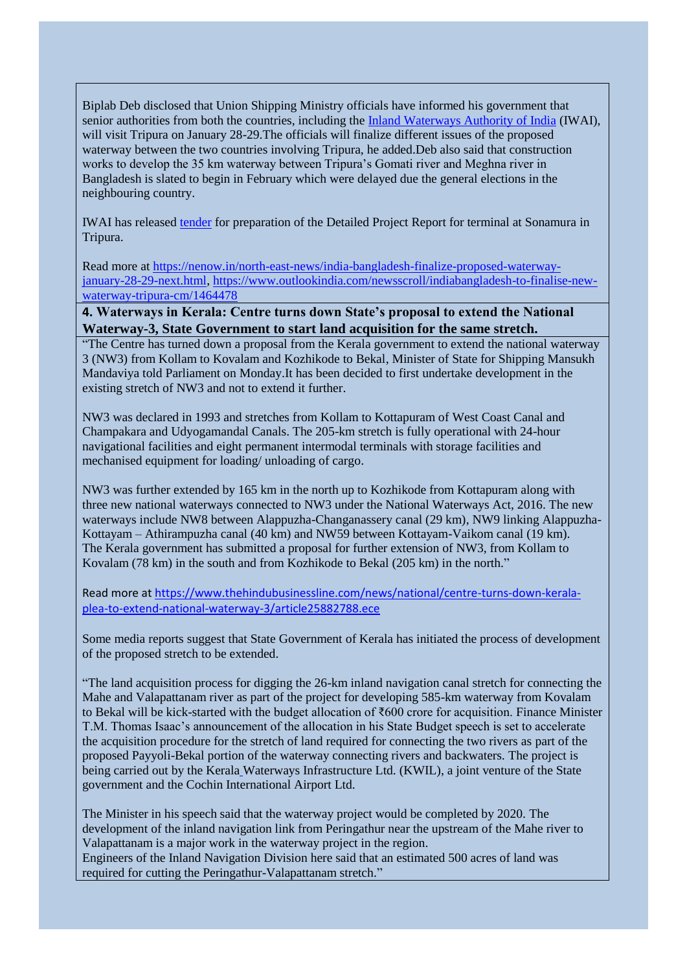Biplab Deb disclosed that Union Shipping Ministry officials have informed his government that senior authorities from both the countries, including the [Inland Waterways Authority of India](https://nenow.in/top-news/indian-envoy-shringla-offers-prayers-at-iskcon-temple-in-bangladeshs-coxs-bazar.html) (IWAI), will visit Tripura on January 28-29.The officials will finalize different issues of the proposed waterway between the two countries involving Tripura, he added.Deb also said that construction works to develop the 35 km waterway between Tripura's Gomati river and Meghna river in Bangladesh is slated to begin in February which were delayed due the general elections in the neighbouring country.

IWAI has released [tender](http://iwai.nic.in/showtndfile.php?tender_id=1831.) for preparation of the Detailed Project Report for terminal at Sonamura in Tripura.

Read more at [https://nenow.in/north-east-news/india-bangladesh-finalize-proposed-waterway](https://nenow.in/north-east-news/india-bangladesh-finalize-proposed-waterway-january-28-29-next.html)[january-28-29-next.html,](https://nenow.in/north-east-news/india-bangladesh-finalize-proposed-waterway-january-28-29-next.html) [https://www.outlookindia.com/newsscroll/indiabangladesh-to-finalise-new](https://www.outlookindia.com/newsscroll/indiabangladesh-to-finalise-new-waterway-tripura-cm/1464478)[waterway-tripura-cm/1464478](https://www.outlookindia.com/newsscroll/indiabangladesh-to-finalise-new-waterway-tripura-cm/1464478)

<span id="page-2-0"></span>**4. Waterways in Kerala: Centre turns down State's proposal to extend the National Waterway-3, State Government to start land acquisition for the same stretch.**

"The Centre has turned down a proposal from the Kerala government to extend the national waterway 3 (NW3) from Kollam to Kovalam and Kozhikode to Bekal, Minister of State for Shipping Mansukh Mandaviya told Parliament on Monday.It has been decided to first undertake development in the existing stretch of NW3 and not to extend it further.

NW3 was declared in 1993 and stretches from Kollam to Kottapuram of West Coast Canal and Champakara and Udyogamandal Canals. The 205-km stretch is fully operational with 24-hour navigational facilities and eight permanent intermodal terminals with storage facilities and mechanised equipment for loading/ unloading of cargo.

NW3 was further extended by 165 km in the north up to Kozhikode from Kottapuram along with three new national waterways connected to NW3 under the National Waterways Act, 2016. The new waterways include NW8 between Alappuzha-Changanassery canal (29 km), NW9 linking Alappuzha-Kottayam – Athirampuzha canal (40 km) and NW59 between Kottayam-Vaikom canal (19 km). The Kerala government has submitted a proposal for further extension of NW3, from Kollam to Kovalam (78 km) in the south and from Kozhikode to Bekal (205 km) in the north."

Read more at [https://www.thehindubusinessline.com/news/national/centre-turns-down-kerala](https://www.thehindubusinessline.com/news/national/centre-turns-down-kerala-plea-to-extend-national-waterway-3/article25882788.ece)[plea-to-extend-national-waterway-3/article25882788.ece](https://www.thehindubusinessline.com/news/national/centre-turns-down-kerala-plea-to-extend-national-waterway-3/article25882788.ece)

Some media reports suggest that State Government of Kerala has initiated the process of development of the proposed stretch to be extended.

"The land acquisition process for digging the 26-km inland navigation canal stretch for connecting the Mahe and Valapattanam river as part of the project for developing 585-km waterway from Kovalam to Bekal will be kick-started with the budget allocation of ₹600 crore for acquisition. Finance Minister T.M. Thomas Isaac's announcement of the allocation in his State Budget speech is set to accelerate the acquisition procedure for the stretch of land required for connecting the two rivers as part of the proposed Payyoli-Bekal portion of the waterway connecting rivers and backwaters. The project is being carried out by the [Kerala](https://www.thehindu.com/tag/150-81/kerala/?utm=bodytag) Waterways Infrastructure Ltd. (KWIL), a joint venture of the State government and the Cochin International Airport Ltd.

The Minister in his speech said that the waterway project would be completed by 2020. The development of the inland navigation link from Peringathur near the upstream of the Mahe river to Valapattanam is a major work in the waterway project in the region. Engineers of the Inland Navigation Division here said that an estimated 500 acres of land was

required for cutting the Peringathur-Valapattanam stretch."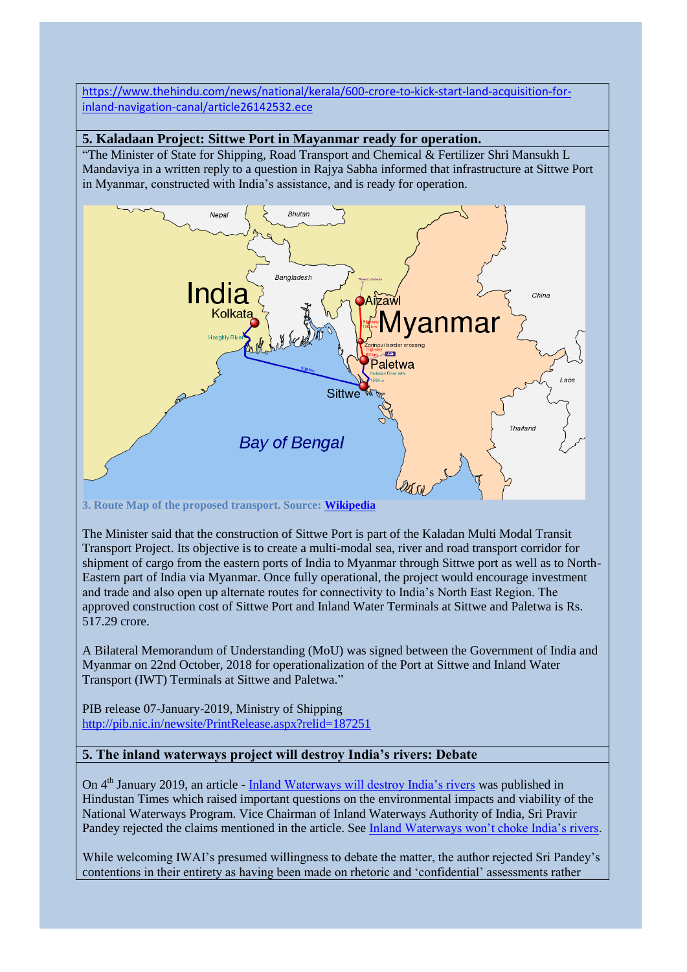[https://www.thehindu.com/news/national/kerala/600-crore-to-kick-start-land-acquisition-for](https://www.thehindu.com/news/national/kerala/600-crore-to-kick-start-land-acquisition-for-inland-navigation-canal/article26142532.ece)[inland-navigation-canal/article26142532.ece](https://www.thehindu.com/news/national/kerala/600-crore-to-kick-start-land-acquisition-for-inland-navigation-canal/article26142532.ece)

### <span id="page-3-0"></span>**5. Kaladaan Project: Sittwe Port in Mayanmar ready for operation.**

"The Minister of State for Shipping, Road Transport and Chemical & Fertilizer Shri Mansukh L Mandaviya in a written reply to a question in Rajya Sabha informed that infrastructure at Sittwe Port in Myanmar, constructed with India's assistance, and is ready for operation.



**3. Route Map of the proposed transport. Source: [Wikipedia](https://en.wikipedia.org/wiki/Kaladan_Multi-Modal_Transit_Transport_Project)**

The Minister said that the construction of Sittwe Port is part of the Kaladan Multi Modal Transit Transport Project. Its objective is to create a multi-modal sea, river and road transport corridor for shipment of cargo from the eastern ports of India to Myanmar through Sittwe port as well as to North-Eastern part of India via Myanmar. Once fully operational, the project would encourage investment and trade and also open up alternate routes for connectivity to India's North East Region. The approved construction cost of Sittwe Port and Inland Water Terminals at Sittwe and Paletwa is Rs. 517.29 crore.

A Bilateral Memorandum of Understanding (MoU) was signed between the Government of India and Myanmar on 22nd October, 2018 for operationalization of the Port at Sittwe and Inland Water Transport (IWT) Terminals at Sittwe and Paletwa."

PIB release 07-January-2019, Ministry of Shipping <http://pib.nic.in/newsite/PrintRelease.aspx?relid=187251>

## <span id="page-3-1"></span>**5. The inland waterways project will destroy India's rivers: Debate**

On 4<sup>th</sup> January 2019, an article - [Inland Waterways will destroy India's rivers](https://www.hindustantimes.com/analysis/the-inland-waterways-project-will-destroy-india-s-rivers/story-8TDyHX1UuzQzKwWhHXQVPJ.html) was published in Hindustan Times which raised important questions on the environmental impacts and viability of the National Waterways Program. Vice Chairman of Inland Waterways Authority of India, Sri Pravir Pandey rejected the claims mentioned in the article. See [Inland Waterways won't choke India's rivers.](https://www.hindustantimes.com/analysis/the-inland-waterways-project-won-t-choke-rivers/story-3CTflDhyTxijS5AAqlQeqO.html)

While welcoming IWAI's presumed willingness to debate the matter, the author rejected Sri Pandey's contentions in their entirety as having been made on rhetoric and 'confidential' assessments rather